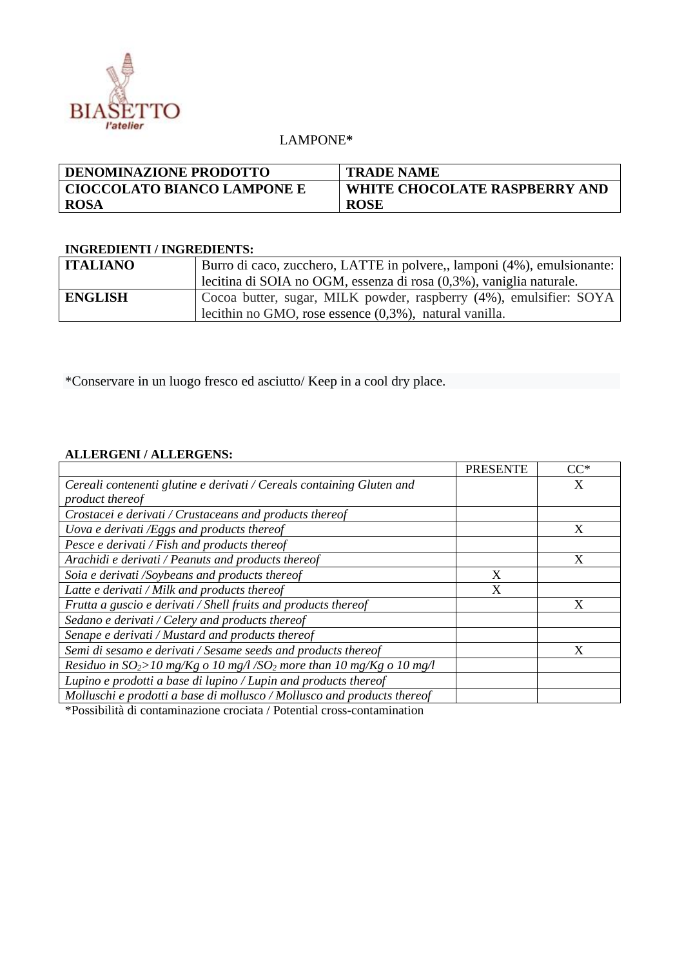

## LAMPONE**\***

| <b>DENOMINAZIONE PRODOTTO</b>      | <b>TRADE NAME</b>             |
|------------------------------------|-------------------------------|
| <b>CIOCCOLATO BIANCO LAMPONE E</b> | WHITE CHOCOLATE RASPBERRY AND |
| <b>ROSA</b>                        | <b>ROSE</b>                   |

## **INGREDIENTI / INGREDIENTS:**

| <b>ITALIANO</b> | Burro di caco, zucchero, LATTE in polvere,, lamponi (4%), emulsionante: |  |  |
|-----------------|-------------------------------------------------------------------------|--|--|
|                 | lecitina di SOIA no OGM, essenza di rosa (0,3%), vaniglia naturale.     |  |  |
| <b>ENGLISH</b>  | Cocoa butter, sugar, MILK powder, raspberry (4%), emulsifier: SOYA      |  |  |
|                 | lecithin no GMO, rose essence $(0,3\%)$ , natural vanilla.              |  |  |

\*Conservare in un luogo fresco ed asciutto/ Keep in a cool dry place.

## **ALLERGENI / ALLERGENS:**

|                                                                                                                                                                                                                             | <b>PRESENTE</b> | $CC^*$ |
|-----------------------------------------------------------------------------------------------------------------------------------------------------------------------------------------------------------------------------|-----------------|--------|
| Cereali contenenti glutine e derivati / Cereals containing Gluten and                                                                                                                                                       |                 | X      |
| product thereof                                                                                                                                                                                                             |                 |        |
| Crostacei e derivati / Crustaceans and products thereof                                                                                                                                                                     |                 |        |
| Uova e derivati /Eggs and products thereof                                                                                                                                                                                  |                 | X      |
| Pesce e derivati / Fish and products thereof                                                                                                                                                                                |                 |        |
| Arachidi e derivati / Peanuts and products thereof                                                                                                                                                                          |                 | X      |
| Soia e derivati /Soybeans and products thereof                                                                                                                                                                              | X               |        |
| Latte e derivati / Milk and products thereof                                                                                                                                                                                | X               |        |
| Frutta a guscio e derivati / Shell fruits and products thereof                                                                                                                                                              |                 | X      |
| Sedano e derivati / Celery and products thereof                                                                                                                                                                             |                 |        |
| Senape e derivati / Mustard and products thereof                                                                                                                                                                            |                 |        |
| Semi di sesamo e derivati / Sesame seeds and products thereof                                                                                                                                                               |                 | X      |
| Residuo in $SO_2$ >10 mg/Kg o 10 mg/l/SO <sub>2</sub> more than 10 mg/Kg o 10 mg/l                                                                                                                                          |                 |        |
| Lupino e prodotti a base di lupino / Lupin and products thereof                                                                                                                                                             |                 |        |
| Molluschi e prodotti a base di mollusco / Mollusco and products thereof                                                                                                                                                     |                 |        |
| the contract of the contract of the contract of the contract of the contract of the contract of the contract of<br>$\bullet$ . The set of $\bullet$ is the set of $\bullet$ is the set of $\bullet$ is the set of $\bullet$ |                 |        |

\*Possibilità di contaminazione crociata / Potential cross-contamination